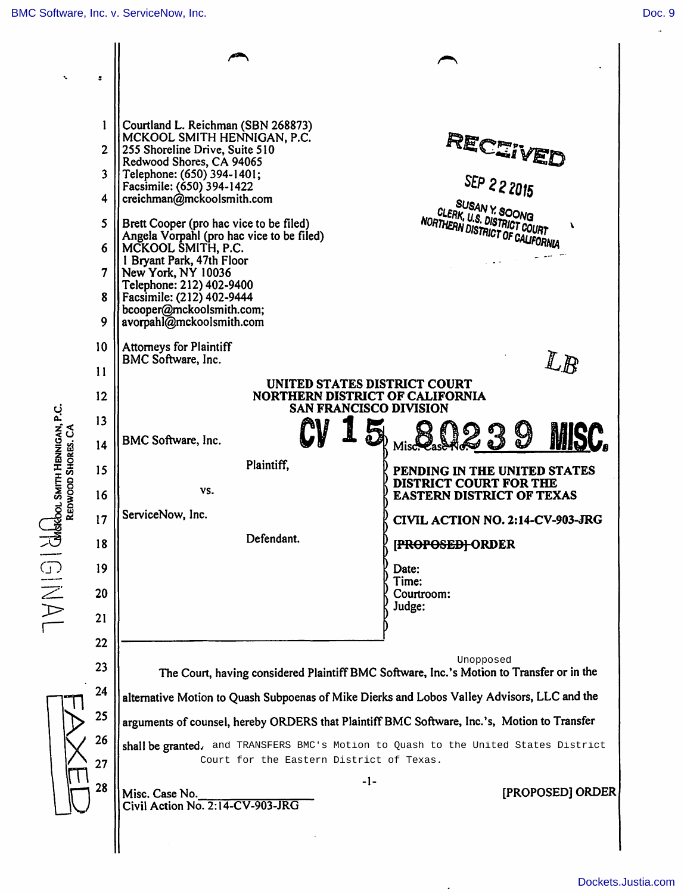